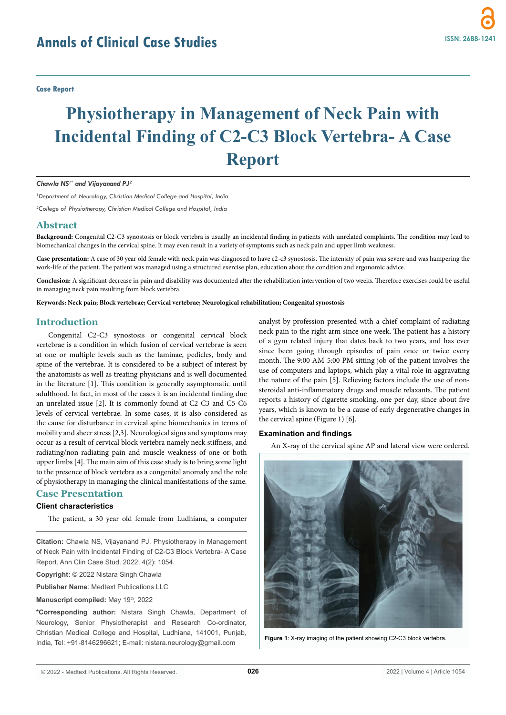**Case Report**

# **Physiotherapy in Management of Neck Pain with Incidental Finding of C2-C3 Block Vertebra- A Case Report**

#### *Chawla NS1\* and Vijayanand PJ2*

*1 Department of Neurology, Christian Medical College and Hospital, India*

*2 College of Physiotherapy, Christian Medical College and Hospital, India*

#### **Abstract**

**Background:** Congenital C2-C3 synostosis or block vertebra is usually an incidental finding in patients with unrelated complaints. The condition may lead to biomechanical changes in the cervical spine. It may even result in a variety of symptoms such as neck pain and upper limb weakness.

**Case presentation:** A case of 30 year old female with neck pain was diagnosed to have c2-c3 synostosis. The intensity of pain was severe and was hampering the work-life of the patient. The patient was managed using a structured exercise plan, education about the condition and ergonomic advice.

**Conclusion:** A significant decrease in pain and disability was documented after the rehabilitation intervention of two weeks. Therefore exercises could be useful in managing neck pain resulting from block vertebra.

**Keywords: Neck pain; Block vertebrae; Cervical vertebrae; Neurological rehabilitation; Congenital synostosis**

# **Introduction**

Congenital C2-C3 synostosis or congenital cervical block vertebrae is a condition in which fusion of cervical vertebrae is seen at one or multiple levels such as the laminae, pedicles, body and spine of the vertebrae. It is considered to be a subject of interest by the anatomists as well as treating physicians and is well documented in the literature [1]. This condition is generally asymptomatic until adulthood. In fact, in most of the cases it is an incidental finding due an unrelated issue [2]. It is commonly found at C2-C3 and C5-C6 levels of cervical vertebrae. In some cases, it is also considered as the cause for disturbance in cervical spine biomechanics in terms of mobility and sheer stress [2,3]. Neurological signs and symptoms may occur as a result of cervical block vertebra namely neck stiffness, and radiating/non-radiating pain and muscle weakness of one or both upper limbs [4]. The main aim of this case study is to bring some light to the presence of block vertebra as a congenital anomaly and the role of physiotherapy in managing the clinical manifestations of the same.

# **Case Presentation**

# **Client characteristics**

The patient, a 30 year old female from Ludhiana, a computer

**Citation:** Chawla NS, Vijayanand PJ. Physiotherapy in Management of Neck Pain with Incidental Finding of C2-C3 Block Vertebra- A Case Report. Ann Clin Case Stud. 2022; 4(2): 1054.

**Copyright:** © 2022 Nistara Singh Chawla

**Publisher Name**: Medtext Publications LLC

**Manuscript compiled:** May 19th, 2022

**\*Corresponding author:** Nistara Singh Chawla, Department of Neurology, Senior Physiotherapist and Research Co-ordinator, Christian Medical College and Hospital, Ludhiana, 141001, Punjab, India, Tel: +91-8146296621; E-mail: nistara.neurology@gmail.com

analyst by profession presented with a chief complaint of radiating neck pain to the right arm since one week. The patient has a history of a gym related injury that dates back to two years, and has ever since been going through episodes of pain once or twice every month. The 9:00 AM-5:00 PM sitting job of the patient involves the use of computers and laptops, which play a vital role in aggravating the nature of the pain [5]. Relieving factors include the use of nonsteroidal anti-inflammatory drugs and muscle relaxants. The patient reports a history of cigarette smoking, one per day, since about five years, which is known to be a cause of early degenerative changes in the cervical spine (Figure 1) [6].

#### **Examination and findings**

An X-ray of the cervical spine AP and lateral view were ordered.



**Figure 1**: X-ray imaging of the patient showing C2-C3 block vertebra.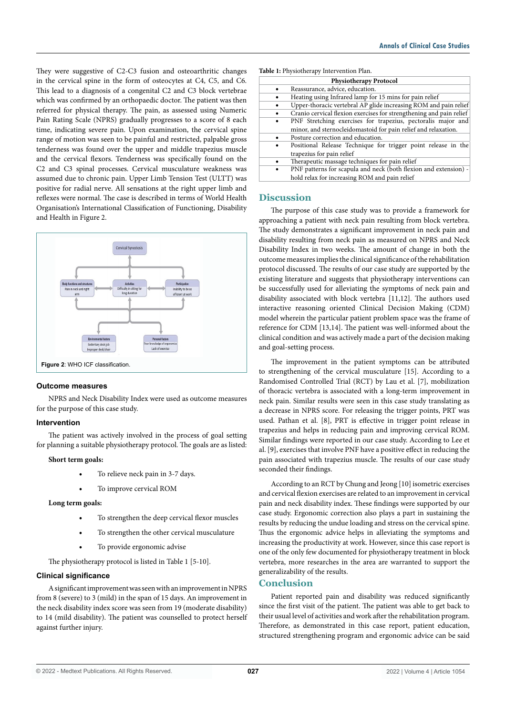They were suggestive of C2-C3 fusion and osteoarthritic changes in the cervical spine in the form of osteocytes at C4, C5, and C6. This lead to a diagnosis of a congenital C2 and C3 block vertebrae which was confirmed by an orthopaedic doctor. The patient was then referred for physical therapy. The pain, as assessed using Numeric Pain Rating Scale (NPRS) gradually progresses to a score of 8 each time, indicating severe pain. Upon examination, the cervical spine range of motion was seen to be painful and restricted, palpable gross tenderness was found over the upper and middle trapezius muscle and the cervical flexors. Tenderness was specifically found on the C2 and C3 spinal processes. Cervical musculature weakness was assumed due to chronic pain. Upper Limb Tension Test (ULTT) was positive for radial nerve. All sensations at the right upper limb and reflexes were normal. The case is described in terms of World Health Organisation's International Classification of Functioning, Disability and Health in Figure 2.



## **Outcome measures**

NPRS and Neck Disability Index were used as outcome measures for the purpose of this case study.

## **Intervention**

The patient was actively involved in the process of goal setting for planning a suitable physiotherapy protocol. The goals are as listed:

## **Short term goals:**

- To relieve neck pain in 3-7 days.
- To improve cervical ROM

# **Long term goals:**

- To strengthen the deep cervical flexor muscles
- To strengthen the other cervical musculature
- To provide ergonomic advise

The physiotherapy protocol is listed in Table 1 [5-10].

# **Clinical significance**

A significant improvement was seen with an improvement in NPRS from 8 (severe) to 3 (mild) in the span of 15 days. An improvement in the neck disability index score was seen from 19 (moderate disability) to 14 (mild disability). The patient was counselled to protect herself against further injury.

#### **Table 1:** Physiotherapy Intervention Plan.

| <b>Physiotherapy Protocol</b>                                       |
|---------------------------------------------------------------------|
| Reassurance, advice, education.                                     |
| Heating using Infrared lamp for 15 mins for pain relief             |
| Upper-thoracic vertebral AP glide increasing ROM and pain relief    |
| Cranio cervical flexion exercises for strengthening and pain relief |
| PNF Stretching exercises for trapezius, pectoralis major and        |
| minor, and sternocleidomastoid for pain relief and relaxation.      |
| Posture correction and education.                                   |
| Positional Release Technique for trigger point release in the       |
| trapezius for pain relief                                           |
| Therapeutic massage techniques for pain relief                      |
| PNF patterns for scapula and neck (both flexion and extension) -    |
| hold relax for increasing ROM and pain relief                       |

# **Discussion**

The purpose of this case study was to provide a framework for approaching a patient with neck pain resulting from block vertebra. The study demonstrates a significant improvement in neck pain and disability resulting from neck pain as measured on NPRS and Neck Disability Index in two weeks. The amount of change in both the outcome measures implies the clinical significance of the rehabilitation protocol discussed. The results of our case study are supported by the existing literature and suggests that physiotherapy interventions can be successfully used for alleviating the symptoms of neck pain and disability associated with block vertebra [11,12]. The authors used interactive reasoning oriented Clinical Decision Making (CDM) model wherein the particular patient problem space was the frame of reference for CDM [13,14]. The patient was well-informed about the clinical condition and was actively made a part of the decision making and goal-setting process.

The improvement in the patient symptoms can be attributed to strengthening of the cervical musculature [15]. According to a Randomised Controlled Trial (RCT) by Lau et al. [7], mobilization of thoracic vertebra is associated with a long-term improvement in neck pain. Similar results were seen in this case study translating as a decrease in NPRS score. For releasing the trigger points, PRT was used. Pathan et al. [8], PRT is effective in trigger point release in trapezius and helps in reducing pain and improving cervical ROM. Similar findings were reported in our case study. According to Lee et al. [9], exercises that involve PNF have a positive effect in reducing the pain associated with trapezius muscle. The results of our case study seconded their findings.

According to an RCT by Chung and Jeong [10] isometric exercises and cervical flexion exercises are related to an improvement in cervical pain and neck disability index. These findings were supported by our case study. Ergonomic correction also plays a part in sustaining the results by reducing the undue loading and stress on the cervical spine. Thus the ergonomic advice helps in alleviating the symptoms and increasing the productivity at work. However, since this case report is one of the only few documented for physiotherapy treatment in block vertebra, more researches in the area are warranted to support the generalizability of the results.

# **Conclusion**

Patient reported pain and disability was reduced significantly since the first visit of the patient. The patient was able to get back to their usual level of activities and work after the rehabilitation program. Therefore, as demonstrated in this case report, patient education, structured strengthening program and ergonomic advice can be said

© 2022 - Medtext Publications. All Rights Reserved. **027**